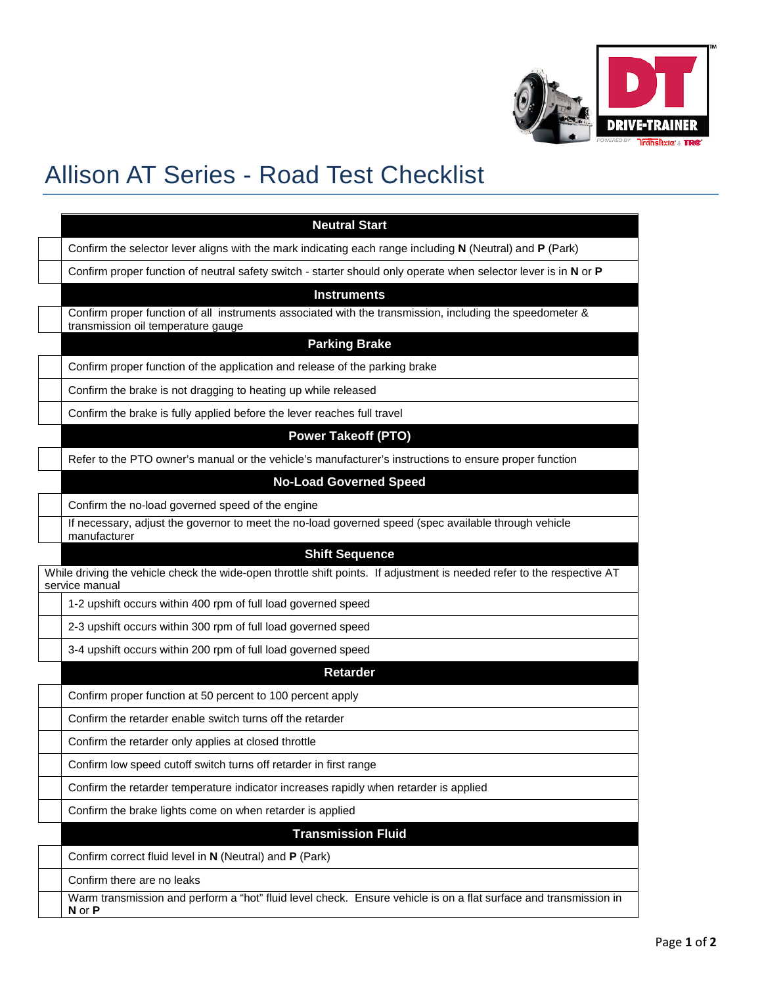

## Allison AT Series - Road Test Checklist

| <b>Neutral Start</b>                                                                                                                             |
|--------------------------------------------------------------------------------------------------------------------------------------------------|
| Confirm the selector lever aligns with the mark indicating each range including N (Neutral) and P (Park)                                         |
| Confirm proper function of neutral safety switch - starter should only operate when selector lever is in N or P                                  |
| <b>Instruments</b>                                                                                                                               |
| Confirm proper function of all instruments associated with the transmission, including the speedometer &<br>transmission oil temperature gauge   |
| <b>Parking Brake</b>                                                                                                                             |
| Confirm proper function of the application and release of the parking brake                                                                      |
| Confirm the brake is not dragging to heating up while released                                                                                   |
| Confirm the brake is fully applied before the lever reaches full travel                                                                          |
| <b>Power Takeoff (PTO)</b>                                                                                                                       |
| Refer to the PTO owner's manual or the vehicle's manufacturer's instructions to ensure proper function                                           |
| <b>No-Load Governed Speed</b>                                                                                                                    |
| Confirm the no-load governed speed of the engine                                                                                                 |
| If necessary, adjust the governor to meet the no-load governed speed (spec available through vehicle<br>manufacturer                             |
| <b>Shift Sequence</b><br>While driving the vehicle check the wide-open throttle shift points. If adjustment is needed refer to the respective AT |
| service manual<br>1-2 upshift occurs within 400 rpm of full load governed speed                                                                  |
| 2-3 upshift occurs within 300 rpm of full load governed speed                                                                                    |
| 3-4 upshift occurs within 200 rpm of full load governed speed                                                                                    |
| <b>Retarder</b>                                                                                                                                  |
| Confirm proper function at 50 percent to 100 percent apply                                                                                       |
| Confirm the retarder enable switch turns off the retarder                                                                                        |
| Confirm the retarder only applies at closed throttle                                                                                             |
| Confirm low speed cutoff switch turns off retarder in first range                                                                                |
| Confirm the retarder temperature indicator increases rapidly when retarder is applied                                                            |
| Confirm the brake lights come on when retarder is applied                                                                                        |
| <b>Transmission Fluid</b>                                                                                                                        |
| Confirm correct fluid level in N (Neutral) and P (Park)                                                                                          |
| Confirm there are no leaks                                                                                                                       |
| Warm transmission and perform a "hot" fluid level check. Ensure vehicle is on a flat surface and transmission in<br>N or P                       |
|                                                                                                                                                  |